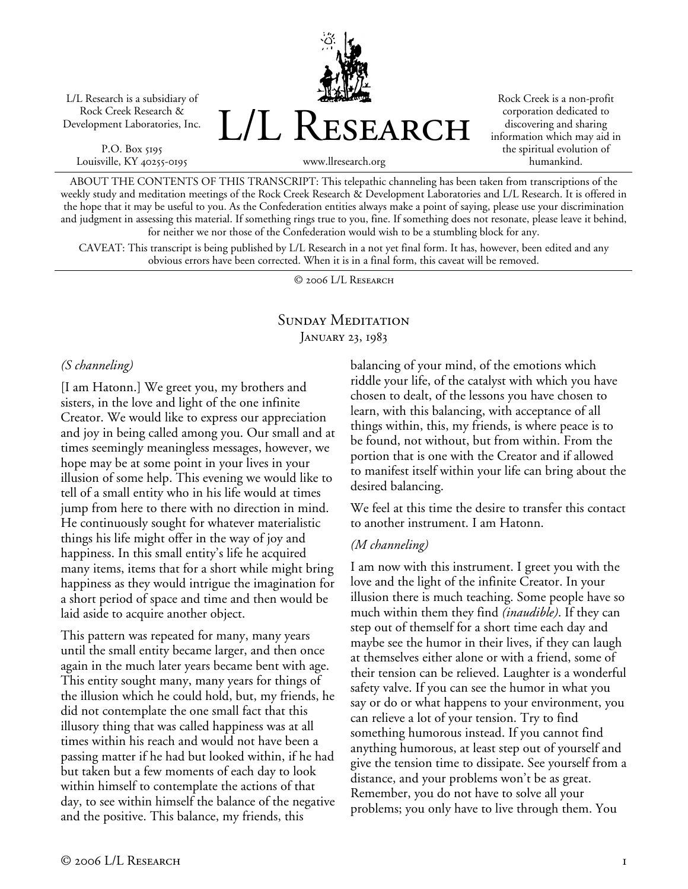L/L Research is a subsidiary of Rock Creek Research & Development Laboratories, Inc.

P.O. Box 5195 Louisville, KY 40255-0195 L/L Research

Rock Creek is a non-profit corporation dedicated to discovering and sharing information which may aid in the spiritual evolution of humankind.

www.llresearch.org

ABOUT THE CONTENTS OF THIS TRANSCRIPT: This telepathic channeling has been taken from transcriptions of the weekly study and meditation meetings of the Rock Creek Research & Development Laboratories and L/L Research. It is offered in the hope that it may be useful to you. As the Confederation entities always make a point of saying, please use your discrimination and judgment in assessing this material. If something rings true to you, fine. If something does not resonate, please leave it behind, for neither we nor those of the Confederation would wish to be a stumbling block for any.

CAVEAT: This transcript is being published by L/L Research in a not yet final form. It has, however, been edited and any obvious errors have been corrected. When it is in a final form, this caveat will be removed.

© 2006 L/L Research

## SUNDAY MEDITATION JANUARY 23, 1983

#### *(S channeling)*

[I am Hatonn.] We greet you, my brothers and sisters, in the love and light of the one infinite Creator. We would like to express our appreciation and joy in being called among you. Our small and at times seemingly meaningless messages, however, we hope may be at some point in your lives in your illusion of some help. This evening we would like to tell of a small entity who in his life would at times jump from here to there with no direction in mind. He continuously sought for whatever materialistic things his life might offer in the way of joy and happiness. In this small entity's life he acquired many items, items that for a short while might bring happiness as they would intrigue the imagination for a short period of space and time and then would be laid aside to acquire another object.

This pattern was repeated for many, many years until the small entity became larger, and then once again in the much later years became bent with age. This entity sought many, many years for things of the illusion which he could hold, but, my friends, he did not contemplate the one small fact that this illusory thing that was called happiness was at all times within his reach and would not have been a passing matter if he had but looked within, if he had but taken but a few moments of each day to look within himself to contemplate the actions of that day, to see within himself the balance of the negative and the positive. This balance, my friends, this

balancing of your mind, of the emotions which riddle your life, of the catalyst with which you have chosen to dealt, of the lessons you have chosen to learn, with this balancing, with acceptance of all things within, this, my friends, is where peace is to be found, not without, but from within. From the portion that is one with the Creator and if allowed to manifest itself within your life can bring about the desired balancing.

We feel at this time the desire to transfer this contact to another instrument. I am Hatonn.

#### *(M channeling)*

I am now with this instrument. I greet you with the love and the light of the infinite Creator. In your illusion there is much teaching. Some people have so much within them they find *(inaudible)*. If they can step out of themself for a short time each day and maybe see the humor in their lives, if they can laugh at themselves either alone or with a friend, some of their tension can be relieved. Laughter is a wonderful safety valve. If you can see the humor in what you say or do or what happens to your environment, you can relieve a lot of your tension. Try to find something humorous instead. If you cannot find anything humorous, at least step out of yourself and give the tension time to dissipate. See yourself from a distance, and your problems won't be as great. Remember, you do not have to solve all your problems; you only have to live through them. You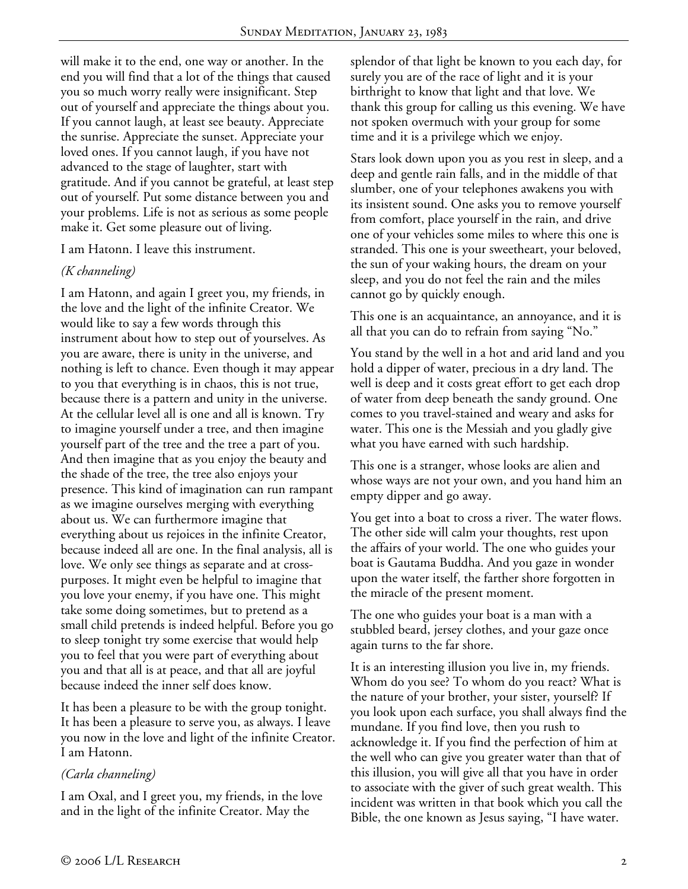will make it to the end, one way or another. In the end you will find that a lot of the things that caused you so much worry really were insignificant. Step out of yourself and appreciate the things about you. If you cannot laugh, at least see beauty. Appreciate the sunrise. Appreciate the sunset. Appreciate your loved ones. If you cannot laugh, if you have not advanced to the stage of laughter, start with gratitude. And if you cannot be grateful, at least step out of yourself. Put some distance between you and your problems. Life is not as serious as some people make it. Get some pleasure out of living.

I am Hatonn. I leave this instrument.

#### *(K channeling)*

I am Hatonn, and again I greet you, my friends, in the love and the light of the infinite Creator. We would like to say a few words through this instrument about how to step out of yourselves. As you are aware, there is unity in the universe, and nothing is left to chance. Even though it may appear to you that everything is in chaos, this is not true, because there is a pattern and unity in the universe. At the cellular level all is one and all is known. Try to imagine yourself under a tree, and then imagine yourself part of the tree and the tree a part of you. And then imagine that as you enjoy the beauty and the shade of the tree, the tree also enjoys your presence. This kind of imagination can run rampant as we imagine ourselves merging with everything about us. We can furthermore imagine that everything about us rejoices in the infinite Creator, because indeed all are one. In the final analysis, all is love. We only see things as separate and at crosspurposes. It might even be helpful to imagine that you love your enemy, if you have one. This might take some doing sometimes, but to pretend as a small child pretends is indeed helpful. Before you go to sleep tonight try some exercise that would help you to feel that you were part of everything about you and that all is at peace, and that all are joyful because indeed the inner self does know.

It has been a pleasure to be with the group tonight. It has been a pleasure to serve you, as always. I leave you now in the love and light of the infinite Creator. I am Hatonn.

## *(Carla channeling)*

I am Oxal, and I greet you, my friends, in the love and in the light of the infinite Creator. May the

splendor of that light be known to you each day, for surely you are of the race of light and it is your birthright to know that light and that love. We thank this group for calling us this evening. We have not spoken overmuch with your group for some time and it is a privilege which we enjoy.

Stars look down upon you as you rest in sleep, and a deep and gentle rain falls, and in the middle of that slumber, one of your telephones awakens you with its insistent sound. One asks you to remove yourself from comfort, place yourself in the rain, and drive one of your vehicles some miles to where this one is stranded. This one is your sweetheart, your beloved, the sun of your waking hours, the dream on your sleep, and you do not feel the rain and the miles cannot go by quickly enough.

This one is an acquaintance, an annoyance, and it is all that you can do to refrain from saying "No."

You stand by the well in a hot and arid land and you hold a dipper of water, precious in a dry land. The well is deep and it costs great effort to get each drop of water from deep beneath the sandy ground. One comes to you travel-stained and weary and asks for water. This one is the Messiah and you gladly give what you have earned with such hardship.

This one is a stranger, whose looks are alien and whose ways are not your own, and you hand him an empty dipper and go away.

You get into a boat to cross a river. The water flows. The other side will calm your thoughts, rest upon the affairs of your world. The one who guides your boat is Gautama Buddha. And you gaze in wonder upon the water itself, the farther shore forgotten in the miracle of the present moment.

The one who guides your boat is a man with a stubbled beard, jersey clothes, and your gaze once again turns to the far shore.

It is an interesting illusion you live in, my friends. Whom do you see? To whom do you react? What is the nature of your brother, your sister, yourself? If you look upon each surface, you shall always find the mundane. If you find love, then you rush to acknowledge it. If you find the perfection of him at the well who can give you greater water than that of this illusion, you will give all that you have in order to associate with the giver of such great wealth. This incident was written in that book which you call the Bible, the one known as Jesus saying, "I have water.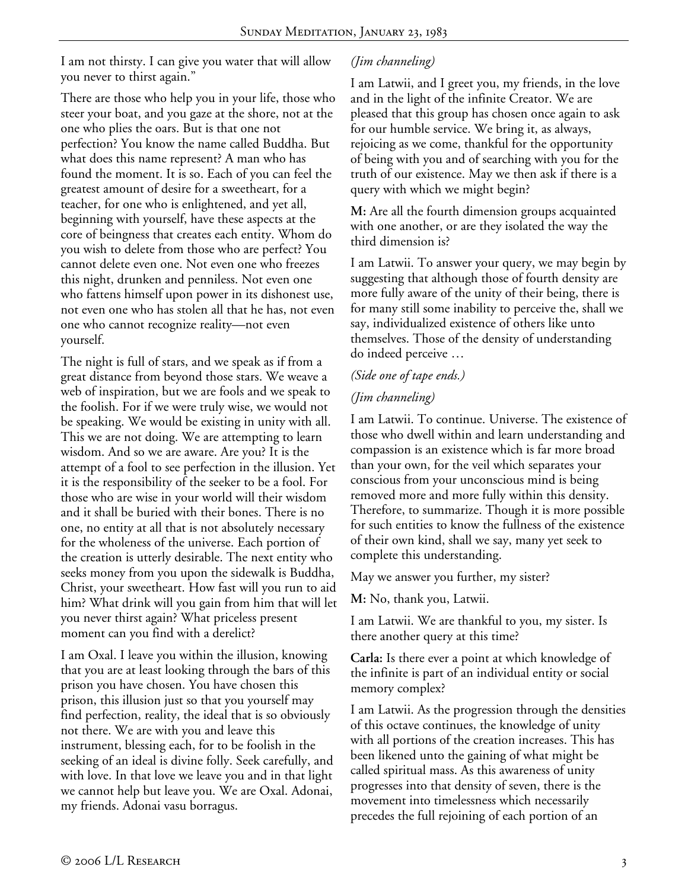I am not thirsty. I can give you water that will allow you never to thirst again."

There are those who help you in your life, those who steer your boat, and you gaze at the shore, not at the one who plies the oars. But is that one not perfection? You know the name called Buddha. But what does this name represent? A man who has found the moment. It is so. Each of you can feel the greatest amount of desire for a sweetheart, for a teacher, for one who is enlightened, and yet all, beginning with yourself, have these aspects at the core of beingness that creates each entity. Whom do you wish to delete from those who are perfect? You cannot delete even one. Not even one who freezes this night, drunken and penniless. Not even one who fattens himself upon power in its dishonest use, not even one who has stolen all that he has, not even one who cannot recognize reality—not even yourself.

The night is full of stars, and we speak as if from a great distance from beyond those stars. We weave a web of inspiration, but we are fools and we speak to the foolish. For if we were truly wise, we would not be speaking. We would be existing in unity with all. This we are not doing. We are attempting to learn wisdom. And so we are aware. Are you? It is the attempt of a fool to see perfection in the illusion. Yet it is the responsibility of the seeker to be a fool. For those who are wise in your world will their wisdom and it shall be buried with their bones. There is no one, no entity at all that is not absolutely necessary for the wholeness of the universe. Each portion of the creation is utterly desirable. The next entity who seeks money from you upon the sidewalk is Buddha, Christ, your sweetheart. How fast will you run to aid him? What drink will you gain from him that will let you never thirst again? What priceless present moment can you find with a derelict?

I am Oxal. I leave you within the illusion, knowing that you are at least looking through the bars of this prison you have chosen. You have chosen this prison, this illusion just so that you yourself may find perfection, reality, the ideal that is so obviously not there. We are with you and leave this instrument, blessing each, for to be foolish in the seeking of an ideal is divine folly. Seek carefully, and with love. In that love we leave you and in that light we cannot help but leave you. We are Oxal. Adonai, my friends. Adonai vasu borragus.

# *(Jim channeling)*

I am Latwii, and I greet you, my friends, in the love and in the light of the infinite Creator. We are pleased that this group has chosen once again to ask for our humble service. We bring it, as always, rejoicing as we come, thankful for the opportunity of being with you and of searching with you for the truth of our existence. May we then ask if there is a query with which we might begin?

**M:** Are all the fourth dimension groups acquainted with one another, or are they isolated the way the third dimension is?

I am Latwii. To answer your query, we may begin by suggesting that although those of fourth density are more fully aware of the unity of their being, there is for many still some inability to perceive the, shall we say, individualized existence of others like unto themselves. Those of the density of understanding do indeed perceive …

## *(Side one of tape ends.)*

## *(Jim channeling)*

I am Latwii. To continue. Universe. The existence of those who dwell within and learn understanding and compassion is an existence which is far more broad than your own, for the veil which separates your conscious from your unconscious mind is being removed more and more fully within this density. Therefore, to summarize. Though it is more possible for such entities to know the fullness of the existence of their own kind, shall we say, many yet seek to complete this understanding.

May we answer you further, my sister?

**M:** No, thank you, Latwii.

I am Latwii. We are thankful to you, my sister. Is there another query at this time?

**Carla:** Is there ever a point at which knowledge of the infinite is part of an individual entity or social memory complex?

I am Latwii. As the progression through the densities of this octave continues, the knowledge of unity with all portions of the creation increases. This has been likened unto the gaining of what might be called spiritual mass. As this awareness of unity progresses into that density of seven, there is the movement into timelessness which necessarily precedes the full rejoining of each portion of an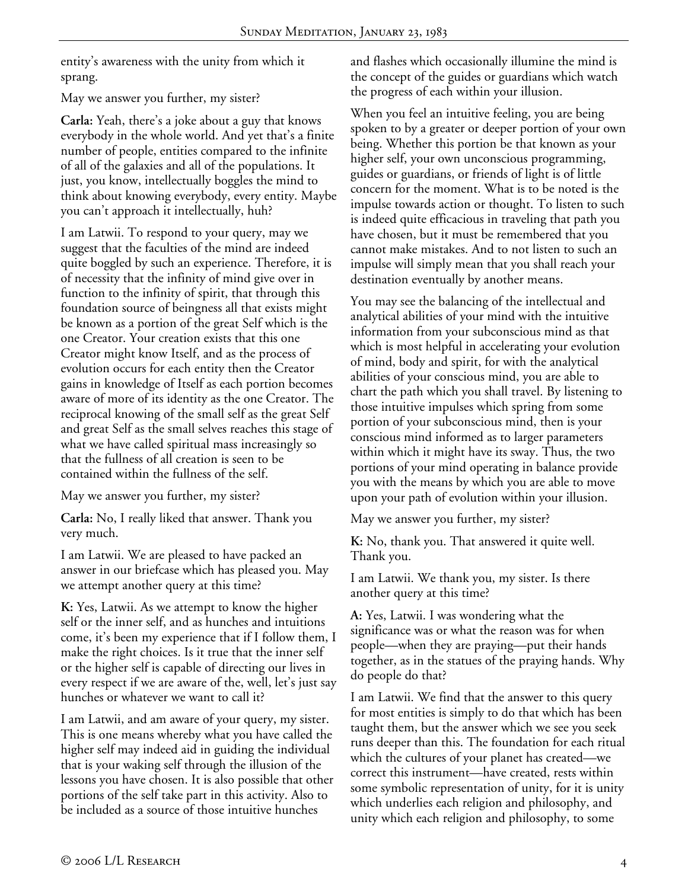entity's awareness with the unity from which it sprang.

May we answer you further, my sister?

**Carla:** Yeah, there's a joke about a guy that knows everybody in the whole world. And yet that's a finite number of people, entities compared to the infinite of all of the galaxies and all of the populations. It just, you know, intellectually boggles the mind to think about knowing everybody, every entity. Maybe you can't approach it intellectually, huh?

I am Latwii. To respond to your query, may we suggest that the faculties of the mind are indeed quite boggled by such an experience. Therefore, it is of necessity that the infinity of mind give over in function to the infinity of spirit, that through this foundation source of beingness all that exists might be known as a portion of the great Self which is the one Creator. Your creation exists that this one Creator might know Itself, and as the process of evolution occurs for each entity then the Creator gains in knowledge of Itself as each portion becomes aware of more of its identity as the one Creator. The reciprocal knowing of the small self as the great Self and great Self as the small selves reaches this stage of what we have called spiritual mass increasingly so that the fullness of all creation is seen to be contained within the fullness of the self.

May we answer you further, my sister?

**Carla:** No, I really liked that answer. Thank you very much.

I am Latwii. We are pleased to have packed an answer in our briefcase which has pleased you. May we attempt another query at this time?

**K:** Yes, Latwii. As we attempt to know the higher self or the inner self, and as hunches and intuitions come, it's been my experience that if I follow them, I make the right choices. Is it true that the inner self or the higher self is capable of directing our lives in every respect if we are aware of the, well, let's just say hunches or whatever we want to call it?

I am Latwii, and am aware of your query, my sister. This is one means whereby what you have called the higher self may indeed aid in guiding the individual that is your waking self through the illusion of the lessons you have chosen. It is also possible that other portions of the self take part in this activity. Also to be included as a source of those intuitive hunches

and flashes which occasionally illumine the mind is the concept of the guides or guardians which watch the progress of each within your illusion.

When you feel an intuitive feeling, you are being spoken to by a greater or deeper portion of your own being. Whether this portion be that known as your higher self, your own unconscious programming, guides or guardians, or friends of light is of little concern for the moment. What is to be noted is the impulse towards action or thought. To listen to such is indeed quite efficacious in traveling that path you have chosen, but it must be remembered that you cannot make mistakes. And to not listen to such an impulse will simply mean that you shall reach your destination eventually by another means.

You may see the balancing of the intellectual and analytical abilities of your mind with the intuitive information from your subconscious mind as that which is most helpful in accelerating your evolution of mind, body and spirit, for with the analytical abilities of your conscious mind, you are able to chart the path which you shall travel. By listening to those intuitive impulses which spring from some portion of your subconscious mind, then is your conscious mind informed as to larger parameters within which it might have its sway. Thus, the two portions of your mind operating in balance provide you with the means by which you are able to move upon your path of evolution within your illusion.

May we answer you further, my sister?

**K:** No, thank you. That answered it quite well. Thank you.

I am Latwii. We thank you, my sister. Is there another query at this time?

**A:** Yes, Latwii. I was wondering what the significance was or what the reason was for when people—when they are praying—put their hands together, as in the statues of the praying hands. Why do people do that?

I am Latwii. We find that the answer to this query for most entities is simply to do that which has been taught them, but the answer which we see you seek runs deeper than this. The foundation for each ritual which the cultures of your planet has created—we correct this instrument—have created, rests within some symbolic representation of unity, for it is unity which underlies each religion and philosophy, and unity which each religion and philosophy, to some